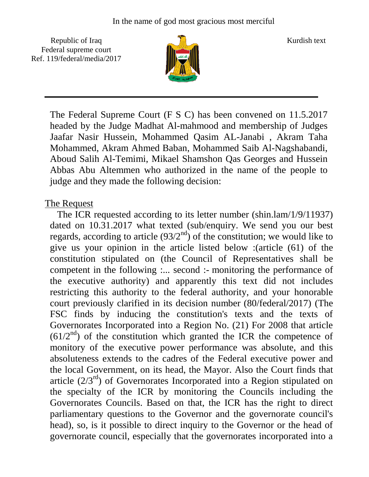Republic of Iraq  $\frac{1}{\|x\|}$  Kurdish text Federal supreme court Ref. 119/federal/media/2017



The Federal Supreme Court (F S C) has been convened on 11.5.2017 headed by the Judge Madhat Al-mahmood and membership of Judges Jaafar Nasir Hussein, Mohammed Qasim AL-Janabi , Akram Taha Mohammed, Akram Ahmed Baban, Mohammed Saib Al-Nagshabandi, Aboud Salih Al-Temimi, Mikael Shamshon Qas Georges and Hussein Abbas Abu Altemmen who authorized in the name of the people to judge and they made the following decision:

## The Request

 The ICR requested according to its letter number (shin.lam/1/9/11937) dated on 10.31.2017 what texted (sub/enquiry. We send you our best regards, according to article  $(93/2<sup>nd</sup>)$  of the constitution; we would like to give us your opinion in the article listed below :(article (61) of the constitution stipulated on (the Council of Representatives shall be competent in the following :... second :- monitoring the performance of the executive authority) and apparently this text did not includes restricting this authority to the federal authority, and your honorable court previously clarified in its decision number (80/federal/2017) (The FSC finds by inducing the constitution's texts and the texts of Governorates Incorporated into a Region No. (21) For 2008 that article  $(61/2<sup>nd</sup>)$  of the constitution which granted the ICR the competence of monitory of the executive power performance was absolute, and this absoluteness extends to the cadres of the Federal executive power and the local Government, on its head, the Mayor. Also the Court finds that article  $(2/3<sup>rd</sup>)$  of Governorates Incorporated into a Region stipulated on the specialty of the ICR by monitoring the Councils including the Governorates Councils. Based on that, the ICR has the right to direct parliamentary questions to the Governor and the governorate council's head), so, is it possible to direct inquiry to the Governor or the head of governorate council, especially that the governorates incorporated into a